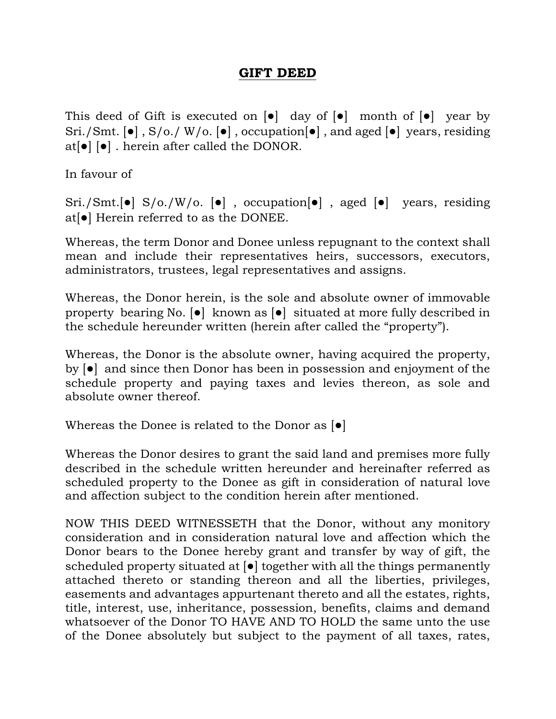## **GIFT DEED**

This deed of Gift is executed on  $\begin{bmatrix} \bullet \end{bmatrix}$  day of  $\begin{bmatrix} \bullet \end{bmatrix}$  month of  $\begin{bmatrix} \bullet \end{bmatrix}$  year by Sri./Smt. [●] , S/o./ W/o. [●] , occupation[●] , and aged [●] years, residing at[●] [●] . herein after called the DONOR.

In favour of

Sri./Smt.[●] S/o./W/o. [●] , occupation[●] , aged [●] years, residing at[●] Herein referred to as the DONEE.

Whereas, the term Donor and Donee unless repugnant to the context shall mean and include their representatives heirs, successors, executors, administrators, trustees, legal representatives and assigns.

Whereas, the Donor herein, is the sole and absolute owner of immovable property bearing No. [●] known as [●] situated at more fully described in the schedule hereunder written (herein after called the "property").

Whereas, the Donor is the absolute owner, having acquired the property, by [●] and since then Donor has been in possession and enjoyment of the schedule property and paying taxes and levies thereon, as sole and absolute owner thereof.

Whereas the Donee is related to the Donor as [●]

Whereas the Donor desires to grant the said land and premises more fully described in the schedule written hereunder and hereinafter referred as scheduled property to the Donee as gift in consideration of natural love and affection subject to the condition herein after mentioned.

NOW THIS DEED WITNESSETH that the Donor, without any monitory consideration and in consideration natural love and affection which the Donor bears to the Donee hereby grant and transfer by way of gift, the scheduled property situated at [●] together with all the things permanently attached thereto or standing thereon and all the liberties, privileges, easements and advantages appurtenant thereto and all the estates, rights, title, interest, use, inheritance, possession, benefits, claims and demand whatsoever of the Donor TO HAVE AND TO HOLD the same unto the use of the Donee absolutely but subject to the payment of all taxes, rates,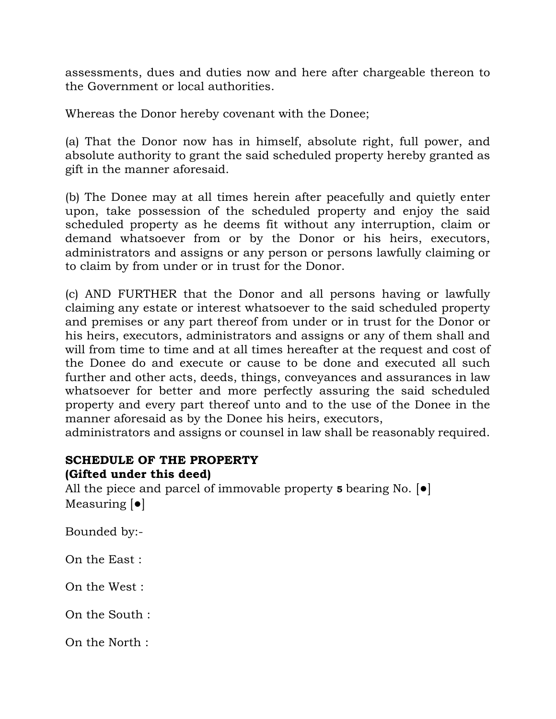assessments, dues and duties now and here after chargeable thereon to the Government or local authorities.

Whereas the Donor hereby covenant with the Donee;

(a) That the Donor now has in himself, absolute right, full power, and absolute authority to grant the said scheduled property hereby granted as gift in the manner aforesaid.

(b) The Donee may at all times herein after peacefully and quietly enter upon, take possession of the scheduled property and enjoy the said scheduled property as he deems fit without any interruption, claim or demand whatsoever from or by the Donor or his heirs, executors, administrators and assigns or any person or persons lawfully claiming or to claim by from under or in trust for the Donor.

(c) AND FURTHER that the Donor and all persons having or lawfully claiming any estate or interest whatsoever to the said scheduled property and premises or any part thereof from under or in trust for the Donor or his heirs, executors, administrators and assigns or any of them shall and will from time to time and at all times hereafter at the request and cost of the Donee do and execute or cause to be done and executed all such further and other acts, deeds, things, conveyances and assurances in law whatsoever for better and more perfectly assuring the said scheduled property and every part thereof unto and to the use of the Donee in the manner aforesaid as by the Donee his heirs, executors,

administrators and assigns or counsel in law shall be reasonably required.

## **SCHEDULE OF THE PROPERTY (Gifted under this deed)**

All the piece and parcel of immovable property **5** bearing No. [●] Measuring [●]

Bounded by:-

On the East :

On the West :

On the South :

On the North :